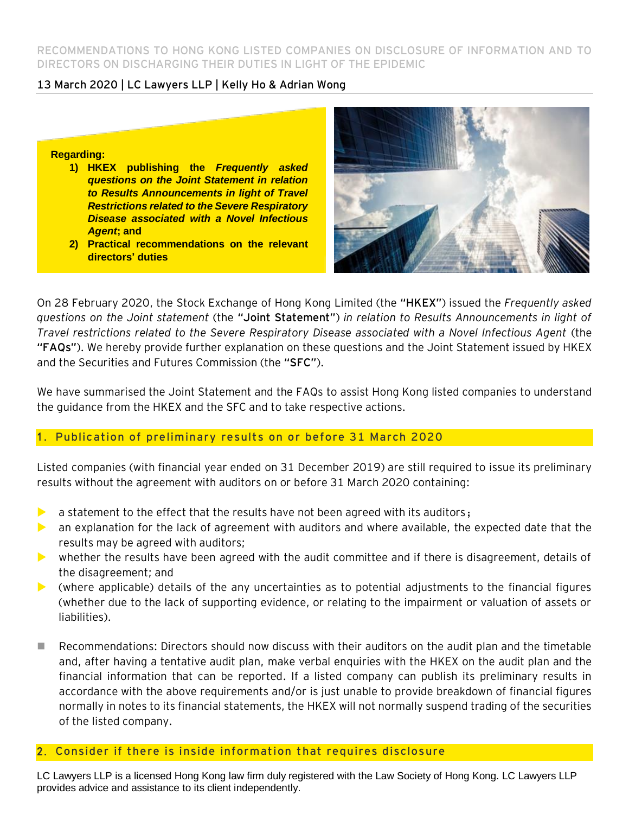**RECOMMENDATIONS TO HONG KONG LISTED COMPANIES ON DISCLOSURE OF INFORMATION AND TO DIRECTORS ON DISCHARGING THEIR DUTIES IN LIGHT OF THE EPIDEMIC**

### **13 March 2020 | LC Lawyers LLP | Kelly Ho & Adrian Wong**

#### **Regarding:**

- **1) HKEX publishing the** *Frequently asked questions on the Joint Statement in relation to Results Announcements in light of Travel Restrictions related to the Severe Respiratory Disease associated with a Novel Infectious Agent***; and**
- **2) Practical recommendations on the relevant directors' duties**



On 28 February 2020, the Stock Exchange of Hong Kong Limited (the **"HKEX"**) issued the *Frequently asked questions on the Joint statement* (the **"Joint Statement"**) *in relation to Results Announcements in light of Travel restrictions related to the Severe Respiratory Disease associated with a Novel Infectious Agent* (the **"FAQs"**). We hereby provide further explanation on these questions and the Joint Statement issued by HKEX and the Securities and Futures Commission (the **"SFC"**).

We have summarised the Joint Statement and the FAQs to assist Hong Kong listed companies to understand the guidance from the HKEX and the SFC and to take respective actions.

## 1 . **Publication of preliminary results on or before 31 March 2020**

Listed companies (with financial year ended on 31 December 2019) are still required to issue its preliminary results without the agreement with auditors on or before 31 March 2020 containing:

- $\triangleright$  a statement to the effect that the results have not been agreed with its auditors;
- an explanation for the lack of agreement with auditors and where available, the expected date that the results may be agreed with auditors;
- whether the results have been agreed with the audit committee and if there is disagreement, details of the disagreement; and
- $\triangleright$  (where applicable) details of the any uncertainties as to potential adjustments to the financial figures (whether due to the lack of supporting evidence, or relating to the impairment or valuation of assets or liabilities).
- Recommendations: Directors should now discuss with their auditors on the audit plan and the timetable and, after having a tentative audit plan, make verbal enquiries with the HKEX on the audit plan and the financial information that can be reported. If a listed company can publish its preliminary results in accordance with the above requirements and/or is just unable to provide breakdown of financial figures normally in notes to its financial statements, the HKEX will not normally suspend trading of the securities of the listed company.

#### 2 . **Consider if there is inside information that requires disclosure**

LC Lawyers LLP is a licensed Hong Kong law firm duly registered with the Law Society of Hong Kong. LC Lawyers LLP provides advice and assistance to its client independently.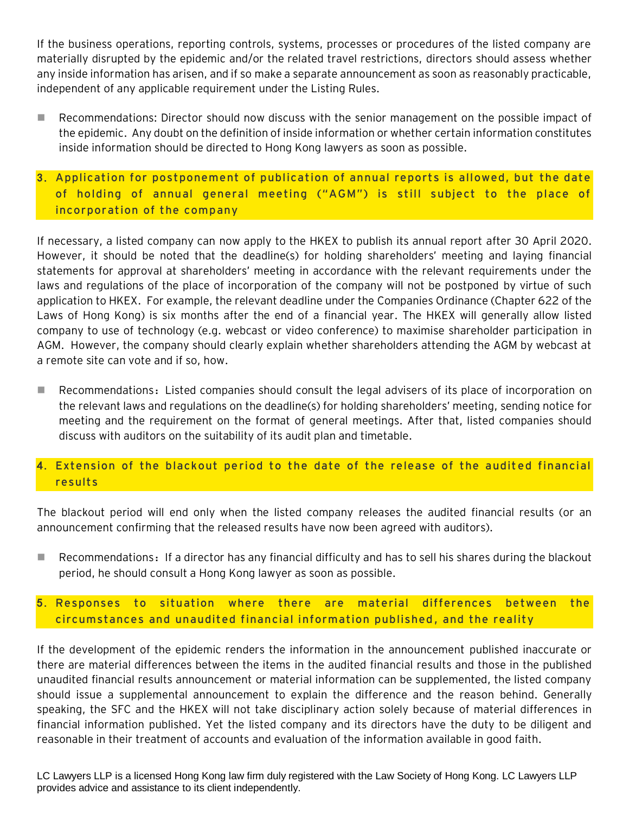If the business operations, reporting controls, systems, processes or procedures of the listed company are materially disrupted by the epidemic and/or the related travel restrictions, directors should assess whether any inside information has arisen, and if so make a separate announcement as soon as reasonably practicable, independent of any applicable requirement under the Listing Rules.

- Recommendations: Director should now discuss with the senior management on the possible impact of the epidemic. Any doubt on the definition of inside information or whether certain information constitutes inside information should be directed to Hong Kong lawyers as soon as possible.
- 3 . **Application for postponement of publication of annual reports is allowed, but the date of holding of annual general meeting ("AGM") is still subject to the place of incorporation of the company**

If necessary, a listed company can now apply to the HKEX to publish its annual report after 30 April 2020. However, it should be noted that the deadline(s) for holding shareholders' meeting and laying financial statements for approval at shareholders' meeting in accordance with the relevant requirements under the laws and regulations of the place of incorporation of the company will not be postponed by virtue of such application to HKEX. For example, the relevant deadline under the Companies Ordinance (Chapter 622 of the Laws of Hong Kong) is six months after the end of a financial year. The HKEX will generally allow listed company to use of technology (e.g. webcast or video conference) to maximise shareholder participation in AGM. However, the company should clearly explain whether shareholders attending the AGM by webcast at a remote site can vote and if so, how.

■ Recommendations: Listed companies should consult the legal advisers of its place of incorporation on the relevant laws and regulations on the deadline(s) for holding shareholders' meeting, sending notice for meeting and the requirement on the format of general meetings. After that, listed companies should discuss with auditors on the suitability of its audit plan and timetable.

## 4. Extension of the blackout period to the date of the release of the audited financial **results**

The blackout period will end only when the listed company releases the audited financial results (or an announcement confirming that the released results have now been agreed with auditors).

■ Recommendations: If a director has any financial difficulty and has to sell his shares during the blackout period, he should consult a Hong Kong lawyer as soon as possible.

## 5 . **Responses to situation where there are material differences between the circumstances and unaudited financial information published, and the reality**

If the development of the epidemic renders the information in the announcement published inaccurate or there are material differences between the items in the audited financial results and those in the published unaudited financial results announcement or material information can be supplemented, the listed company should issue a supplemental announcement to explain the difference and the reason behind. Generally speaking, the SFC and the HKEX will not take disciplinary action solely because of material differences in financial information published. Yet the listed company and its directors have the duty to be diligent and reasonable in their treatment of accounts and evaluation of the information available in good faith.

LC Lawyers LLP is a licensed Hong Kong law firm duly registered with the Law Society of Hong Kong. LC Lawyers LLP provides advice and assistance to its client independently.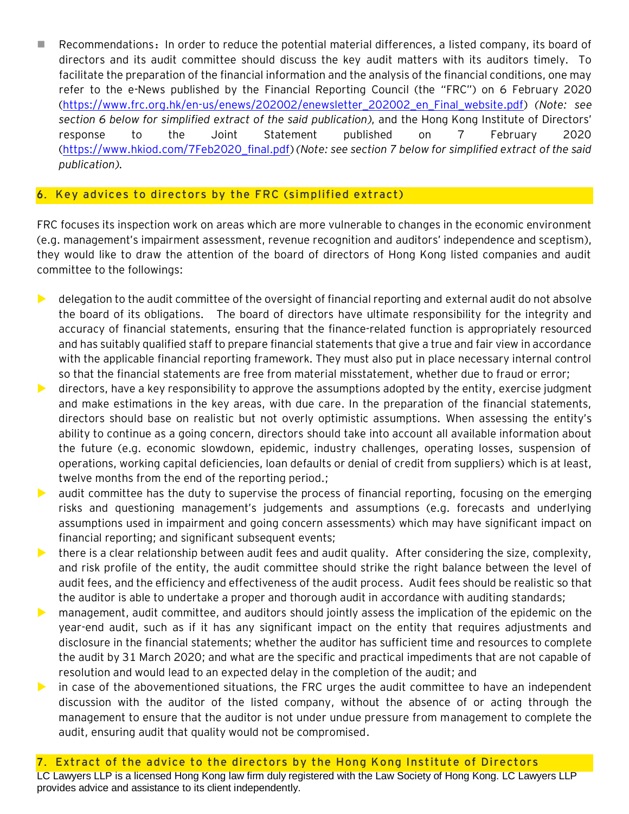■ Recommendations: In order to reduce the potential material differences, a listed company, its board of directors and its audit committee should discuss the key audit matters with its auditors timely. To facilitate the preparation of the financial information and the analysis of the financial conditions, one may refer to the e-News published by the Financial Reporting Council (the "FRC") on 6 February 2020 [\(https://www.frc.org.hk/en-us/enews/202002/enewsletter\\_202002\\_en\\_Final\\_website.pdf\)](https://www.frc.org.hk/en-us/enews/202002/enewsletter_202002_en_Final_website.pdf) *(Note: see section 6 below for simplified extract of the said publication)*, and the Hong Kong Institute of Directors' response to the Joint Statement published on 7 February 2020 [\(https://www.hkiod.com/7Feb2020\\_final.pdf\)](https://www.hkiod.com/7Feb2020_final.pdf) *(Note: see section 7 below for simplified extract of the said publication)*.

## 6 . **Key advices to directors by the FRC (simplified extract)**

FRC focuses its inspection work on areas which are more vulnerable to changes in the economic environment (e.g. management's impairment assessment, revenue recognition and auditors' independence and sceptism), they would like to draw the attention of the board of directors of Hong Kong listed companies and audit committee to the followings:

- $\blacktriangleright$  delegation to the audit committee of the oversight of financial reporting and external audit do not absolve the board of its obligations. The board of directors have ultimate responsibility for the integrity and accuracy of financial statements, ensuring that the finance-related function is appropriately resourced and has suitably qualified staff to prepare financial statements that give a true and fair view in accordance with the applicable financial reporting framework. They must also put in place necessary internal control so that the financial statements are free from material misstatement, whether due to fraud or error;
- $\blacktriangleright$  directors, have a key responsibility to approve the assumptions adopted by the entity, exercise judgment and make estimations in the key areas, with due care. In the preparation of the financial statements, directors should base on realistic but not overly optimistic assumptions. When assessing the entity's ability to continue as a going concern, directors should take into account all available information about the future (e.g. economic slowdown, epidemic, industry challenges, operating losses, suspension of operations, working capital deficiencies, loan defaults or denial of credit from suppliers) which is at least, twelve months from the end of the reporting period.;
- audit committee has the duty to supervise the process of financial reporting, focusing on the emerging risks and questioning management's judgements and assumptions (e.g. forecasts and underlying assumptions used in impairment and going concern assessments) which may have significant impact on financial reporting; and significant subsequent events;
- $\blacktriangleright$  there is a clear relationship between audit fees and audit quality. After considering the size, complexity, and risk profile of the entity, the audit committee should strike the right balance between the level of audit fees, and the efficiency and effectiveness of the audit process. Audit fees should be realistic so that the auditor is able to undertake a proper and thorough audit in accordance with auditing standards;
- management, audit committee, and auditors should jointly assess the implication of the epidemic on the year-end audit, such as if it has any significant impact on the entity that requires adjustments and disclosure in the financial statements; whether the auditor has sufficient time and resources to complete the audit by 31 March 2020; and what are the specific and practical impediments that are not capable of resolution and would lead to an expected delay in the completion of the audit; and
- in case of the abovementioned situations, the FRC urges the audit committee to have an independent discussion with the auditor of the listed company, without the absence of or acting through the management to ensure that the auditor is not under undue pressure from management to complete the audit, ensuring audit that quality would not be compromised.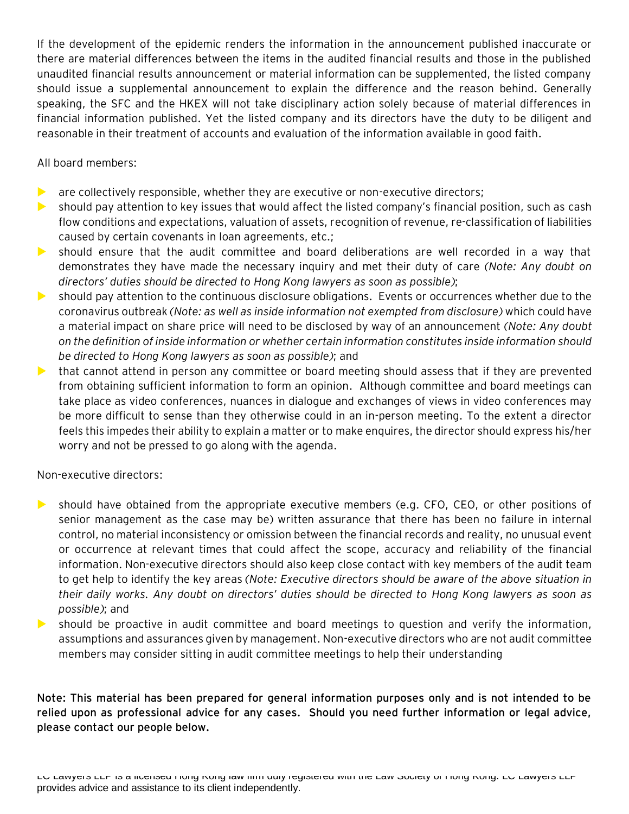If the development of the epidemic renders the information in the announcement published inaccurate or there are material differences between the items in the audited financial results and those in the published unaudited financial results announcement or material information can be supplemented, the listed company should issue a supplemental announcement to explain the difference and the reason behind. Generally speaking, the SFC and the HKEX will not take disciplinary action solely because of material differences in financial information published. Yet the listed company and its directors have the duty to be diligent and reasonable in their treatment of accounts and evaluation of the information available in good faith.

All board members:

- $\triangleright$  are collectively responsible, whether they are executive or non-executive directors;
- should pay attention to key issues that would affect the listed company's financial position, such as cash flow conditions and expectations, valuation of assets, recognition of revenue, re-classification of liabilities caused by certain covenants in loan agreements, etc.;
- should ensure that the audit committee and board deliberations are well recorded in a way that demonstrates they have made the necessary inquiry and met their duty of care *(Note: Any doubt on directors' duties should be directed to Hong Kong lawyers as soon as possible)*;
- should pay attention to the continuous disclosure obligations. Events or occurrences whether due to the coronavirus outbreak *(Note: as well as inside information not exempted from disclosure)* which could have a material impact on share price will need to be disclosed by way of an announcement *(Note: Any doubt on the definition of inside information or whether certain information constitutes inside information should be directed to Hong Kong lawyers as soon as possible)*; and
- that cannot attend in person any committee or board meeting should assess that if they are prevented from obtaining sufficient information to form an opinion. Although committee and board meetings can take place as video conferences, nuances in dialogue and exchanges of views in video conferences may be more difficult to sense than they otherwise could in an in-person meeting. To the extent a director feels this impedes their ability to explain a matter or to make enquires, the director should express his/her worry and not be pressed to go along with the agenda.

Non-executive directors:

- should have obtained from the appropriate executive members (e.g. CFO, CEO, or other positions of senior management as the case may be) written assurance that there has been no failure in internal control, no material inconsistency or omission between the financial records and reality, no unusual event or occurrence at relevant times that could affect the scope, accuracy and reliability of the financial information. Non-executive directors should also keep close contact with key members of the audit team to get help to identify the key areas *(Note: Executive directors should be aware of the above situation in their daily works. Any doubt on directors' duties should be directed to Hong Kong lawyers as soon as possible)*; and
- should be proactive in audit committee and board meetings to question and verify the information, assumptions and assurances given by management. Non-executive directors who are not audit committee members may consider sitting in audit committee meetings to help their understanding

**Note: This material has been prepared for general information purposes only and is not intended to be relied upon as professional advice for any cases. Should you need further information or legal advice, please contact our people below.**